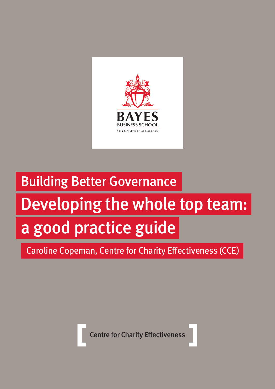

# Building Better Governance Developing the whole top team: a good practice guide

Caroline Copeman, Centre for Charity Effectiveness (CCE)

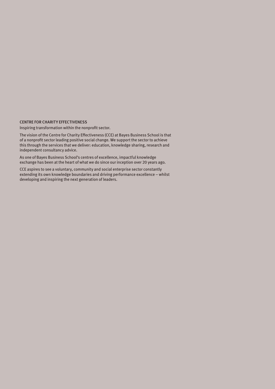#### [CENTRE FOR CHARITY EFFECTIVENESS](https://www.bayes.city.ac.uk/cce)

Inspiring transformation within the nonprofit sector.

The vision of the Centre for Charity Effectiveness (CCE) at Bayes Business School is that of a nonprofit sector leading positive social change. We support the sector to achieve this through the services that we deliver: education, knowledge sharing, research and independent consultancy advice.

As one of Bayes Business School's centres of excellence, impactful knowledge exchange has been at the heart of what we do since our inception over 20 years ago.

CCE aspires to see a voluntary, community and social enterprise sector constantly extending its own knowledge boundaries and driving performance excellence – whilst developing and inspiring the next generation of leaders.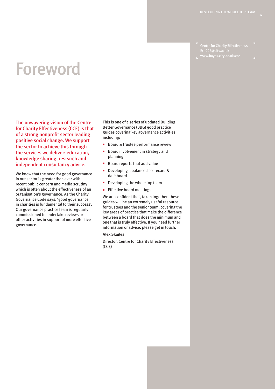Centre for Charity Effectiveness E: [CCE@city.ac.uk](mailto:CCE%40city.ac.uk?subject=)

### Foreword

The unwavering vision of the Centre for Charity Effectiveness (CCE) is that of a strong nonprofit sector leading positive social change. We support the sector to achieve this through the services we deliver: education, knowledge sharing, research and independent consultancy advice.

We know that the need for good governance in our sector is greater than ever with recent public concern and media scrutiny which is often about the effectiveness of an organisation's governance. As the Charity Governance Code says, 'good governance in charities is fundamental to their success'. Our governance practice team is regularly commissioned to undertake reviews or other activities in support of more effective governance.

This is one of a series of updated [Building](https://www.cass.city.ac.uk/faculties-and-research/centres/cce/toolkits-and-guides/building-better-governance)  [Better Governance](https://www.cass.city.ac.uk/faculties-and-research/centres/cce/toolkits-and-guides/building-better-governance) (BBG) good practice guides covering key governance activities including:

- Board & trustee performance review
- Board involvement in strategy and planning
- Board reports that add value
- Developing a balanced scorecard & dashboard
- Developing the whole top team
- Effective board meetings.

We are confident that, taken together, these guides will be an extremely useful resource for trustees and the senior team, covering the key areas of practice that make the difference between a board that does the minimum and one that is truly effective. If you need further information or advice, please [get in touch.](mailto:CCE%40city.ac.uk?subject=)

#### Alex Skailes

Director, Centre for Charity Effectiveness (CCE)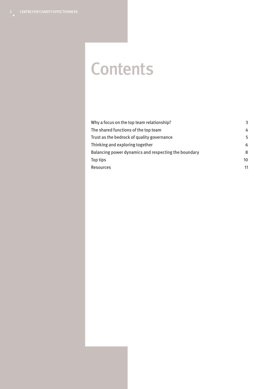### **Contents**

| Why a focus on the top team relationship?            | 3  |
|------------------------------------------------------|----|
| The shared functions of the top team                 | 4  |
| Trust as the bedrock of quality governance           | 5  |
| Thinking and exploring together                      | 6  |
| Balancing power dynamics and respecting the boundary | 8  |
| Top tips                                             | 10 |
| Resources                                            | 11 |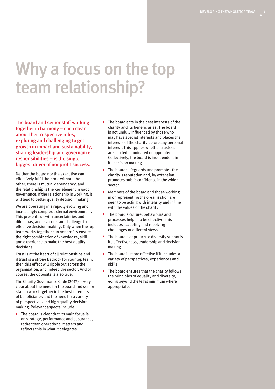### Why a focus on the top team relationship?

The board and senior staff working together in harmony – each clear about their respective roles, exploring and challenging to get growth in impact and sustainability, sharing leadership and governance responsibilities – is the single biggest driver of nonprofit success.

Neither the board nor the executive can effectively fulfil their role without the other; there is mutual dependency, and the relationship is the key element in good governance. If the relationship is working, it will lead to better quality decision making.

We are operating in a rapidly evolving and increasingly complex external environment. This presents us with uncertainties and dilemmas, and is a constant challenge to effective decision-making. Only when the top team works together can nonprofits ensure the right combination of knowledge, skill and experience to make the best quality decisions.

Trust is at the heart of all relationships and if trust is a strong bedrock for your top team, then this effect will ripple out across the organisation, and indeed the sector. And of course, the opposite is also true.

The [Charity Governance Code \(2017\)](https://www.charitygovernancecode.org/en/front-page) is very clear about the need for the board and senior staff to work together in the best interests of beneficiaries and the need for a variety of perspectives and high quality decision making. Relevant aspects include:

■ The board is clear that its main focus is on strategy, performance and assurance, rather than operational matters and reflects this in what it delegates

- The board acts in the best interests of the charity and its beneficiaries. The board is not unduly influenced by those who may have special interests and places the interests of the charity before any personal interest. This applies whether trustees are elected, nominated or appointed. Collectively, the board is independent in its decision making
- The board safeguards and promotes the charity's reputation and, by extension, promotes public confidence in the wider sector
- Members of the board and those working in or representing the organisation are seen to be acting with integrity and in line with the values of the charity
- The board's culture, behaviours and processes help it to be effective; this includes accepting and resolving challenges or different views
- The board's approach to diversity supports its effectiveness, leadership and decision making
- The board is more effective if it includes a variety of perspectives, experiences and skills
- The board ensures that the charity follows the principles of equality and diversity, going beyond the legal minimum where appropriate.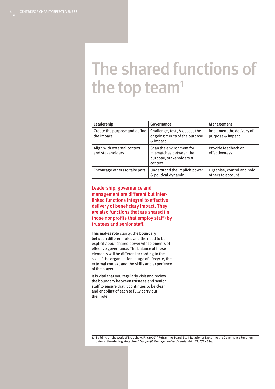### The shared functions of the top team $1$

| Leadership                                      | Governance                                                                               | Management                                      |
|-------------------------------------------------|------------------------------------------------------------------------------------------|-------------------------------------------------|
| Create the purpose and define<br>the impact     | Challenge, test, & assess the<br>ongoing merits of the purpose<br>& impact               | Implement the delivery of<br>purpose & impact   |
| Align with external context<br>and stakeholders | Scan the environment for<br>mismatches between the<br>purpose, stakeholders &<br>context | Provide feedback on<br>effectiveness            |
| Encourage others to take part                   | Understand the implicit power<br>& political dynamic                                     | Organise, control and hold<br>others to account |

Leadership, governance and management are different but interlinked functions integral to effective delivery of beneficiary impact. They are also functions that are shared (in those nonprofits that employ staff) by trustees and senior staff.

This makes role clarity, the boundary between different roles and the need to be explicit about shared power vital elements of effective governance. The balance of these elements will be different according to the size of the organisation, stage of lifecycle, the external context and the skills and experience of the players.

It is vital that you regularly visit and review the boundary between trustees and senior staff to ensure that it continues to be clear and enabling of each to fully carry out their role.

1. Building on the work of [Bradshaw, P., \(2002\) "Reframing Board-Staff Relations: Exploring the Governance Function](https://www.onlinelibrary.wiley.com/doi/abs/10.1002/nml.12409)  Using a Storytelling Metaphor." [Nonprofit Management and Leadershi](https://www.onlinelibrary.wiley.com/doi/abs/10.1002/nml.12409)p. 12. 471 - 484.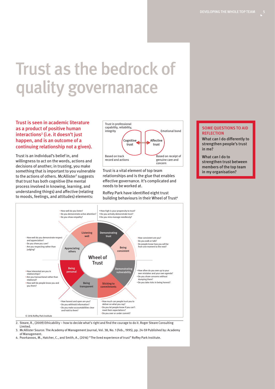DEVELOPING THE WHOLE TOP TEAM

## Trust as the bedrock of quality governanace

#### Trust is seen in academic literature as a product of positive human interactions<sup>2</sup> (i.e. it doesn't just happen, and is an outcome of a continuing relationship not a given).

Trust is an individual's belief in, and willingness to act on the words, actions and decisions of another; in trusting, you make something that is important to you vulnerable to the actions of others. McAllister<sup>3</sup> suggests that trust has both cognitive (the mental process involved in knowing, learning, and understanding things) and affective (relating to moods, feelings, and attitudes) elements:



Trust is a vital element of top team relationships and is the glue that enables effective governance. It's complicated and needs to be worked at.

Roffey Park have identified eight trust building behaviours in their [Wheel of Trust](https://www.roffeypark.ac.uk/knowledge-and-learning-resources-hub/eight-behaviours-that-build-trust/)<sup>4</sup>



2. [Steare, R., \(2009\) Ethicability – how to decide what's right and find the courage to do it](https://www.amazon.co.uk/Ethicability-Decide-Whats-Right-Courage/dp/0955236940/ref=sr_1_1?dchild=1&keywords=roger+steare+ethicability&qid=1628594137&sr=8-1). Roger Steare Consulting Limited.

- 3. [McAllister Source: The Academy of Management Journal, Vol. 38, No. 1 \(Feb., 1995\), pp. 24-59 Published by: Academy](https://www.jstor.org/stable/256727?seq=1#page_scan_tab_contents)  [of Management.](https://www.jstor.org/stable/256727?seq=1#page_scan_tab_contents)
- 4. [Poorkavoos, M., Hatcher, C., and Smith, A., \(2016\) "The lived experience of trust" Roffey Park Institute](https://www.roffeypark.com/research-insights/the-lived-experience-of-trust/).

#### SOME QUESTIONS TO AID **REFLECTION**

What can I do differently to strengthen people's trust in me?

What can I do to strengthen trust between members of the top team in my organisation?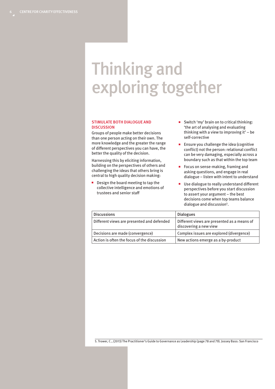### Thinking and exploring together

#### STIMULATE BOTH DIALOGUE AND **DISCUSSION**

Groups of people make better decisions than one person acting on their own. The more knowledge and the greater the range of different perspectives you can have, the better the quality of the decision.

Harnessing this by eliciting information, building on the perspectives of others and challenging the ideas that others bring is central to high quality decision making:

■ Design the board meeting to tap the collective intelligence and emotions of trustees and senior staff

- Switch 'my' brain on to critical thinking: 'the art of analysing and evaluating thinking with a view to improving it' – be self-corrective
- Ensure you challenge the idea (cognitive conflict) not the person: relational conflict can be very damaging, especially across a boundary such as that within the top team
- Focus on sense-making, framing and asking questions, and engage in real dialogue – listen with intent to understand
- Use dialogue to really understand different perspectives before you start discussion to assert your argument – the best decisions come when top teams balance dialogue and discussion<sup>5</sup>.

| <b>Discussions</b>                          | <b>Dialogues</b>                                                      |
|---------------------------------------------|-----------------------------------------------------------------------|
| Different views are presented and defended  | Different views are presented as a means of<br>discovering a new view |
| Decisions are made (convergence)            | Complex issues are explored (divergence)                              |
| Action is often the focus of the discussion | New actions emerge as a by-product                                    |

5. [Trower, C., \(2013\) The Practitioner's Guide to Governance as Leadership](https://www.wiley.com/en-gb/The+Practitioner%27s+Guide+to+Governance+as+Leadership%3A+Building+High+Performing+Nonprofit+Boards-p-9781118237366) (page 78 and 79). Jossey Bass: San Francisco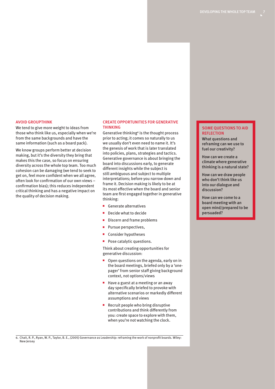#### AVOID GROUPTHINK

We tend to give more weight to ideas from those who think like us, especially when we're from the same backgrounds and have the same information (such as a board pack).

We know groups perform better at decision making, but it's the diversity they bring that makes this the case, so focus on ensuring diversity across the whole top team. Too much cohesion can be damaging (we tend to seek to get on, feel more confident when we all agree, often look for confirmation of our own views – confirmation bias); this reduces independent critical thinking and has a negative impact on the quality of decision making.

#### CREATE OPPORTUNITIES FOR GENERATIVE THINKING

Generative thinking<sup>6</sup> is the thought process prior to acting; it comes so naturally to us we usually don't even need to name it. It's the genesis of work that is later translated into policies, plans, strategies and tactics. Generative governance is about bringing the board into discussions early, to generate different insights while the subject is still ambiguous and subject to multiple interpretations; before you narrow down and frame it. Decision making is likely to be at its most effective when the board and senior team are first engaged together in generative thinking:

- Generate alternatives
- Decide what to decide
- Discern and frame problems
- Pursue perspectives.
- Consider hypotheses
- Pose catalytic questions.

Think about creating opportunities for generative discussion:

- Open questions on the agenda, early on in the board meetings, briefed only by a 'onepager' from senior staff giving background context, not options/views
- Have a guest at a meeting or an away day specifically briefed to provoke with alternative scenarios or markedly different assumptions and views
- Recruit people who bring disruptive contributions and think differently from you: create space to explore with them, when you're not watching the clock.

#### SOME QUESTIONS TO AID **REFLECTION**

What questions and reframing can we use to fuel our creativity?

How can we create a climate where generative thinking is a natural state?

How can we draw people who don't think like us into our dialogue and discussion?

How can we come to a board meeting with an open mind/prepared to be persuaded?

6. [Chait, R. P., Ryan, W. P., Taylor, B. E., \(2005\) Governance as Leadership: reframing the work of nonprofit boards. Wiley:](https://www.wiley.com/en-gb/Governance+as+Leadership:+Reframing+the+Work+of+Nonprofit+Boards-p-9780471684206)  [New Jersey](https://www.wiley.com/en-gb/Governance+as+Leadership:+Reframing+the+Work+of+Nonprofit+Boards-p-9780471684206)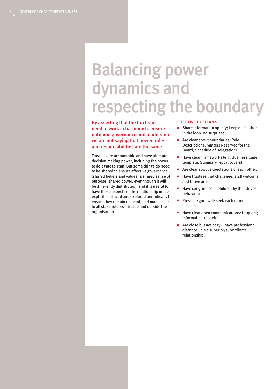### Balancing power dynamics and respecting the boundary

By asserting that the top team need to work in harmony to ensure optimum governance and leadership, we are not saying that power, roles and responsibilities are the same.

Trustees are accountable and have ultimate decision making power, including the power to delegate to staff. But some things do need to be shared to ensure effective governance (shared beliefs and values; a shared sense of purpose; shared power, even though it will be differently distributed), and it is useful to have these aspects of the relationship made explicit, surfaced and explored periodically to ensure they remain relevant, and made clear to all stakeholders – inside and outside the organisation.

#### EFFECTIVE TOP TEAMS:

- Share information openly; keep each other in the loop: no surprises
- Are clear about boundaries (Role Descriptions; Matters Reserved for the Board; Schedule of Delegation)
- Have clear frameworks (e.g. Business Case template; Summary report covers)
- Are clear about expectations of each other,
- Have trustees that challenge; staff welcome and thrive on it
- Have congruence in philosophy that drives behaviour
- Presume goodwill: seek each other's success
- Have clear open communications: frequent; informal; purposeful
- Are close but not cosy have professional distance: it is a superior/subordinate relationship.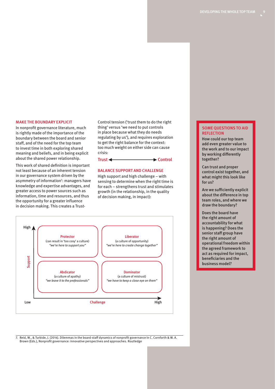#### MAKE THE BOUNDARY EXPLICIT

In nonprofit governance literature, much is rightly made of the importance of the boundary between the board and senior staff, and of the need for the top team to invest time in both exploring shared meaning and beliefs, and in being explicit about the shared power relationship.

This work of shared definition is important not least because of an inherent tension in our governance system driven by the asymmetry of information<sup>7</sup>: managers have knowledge and expertise advantages, and greater access to power sources such as information, time and resources, and thus the opportunity for a greater influence in decision making. This creates a TrustControl tension ('trust them to do the right thing' versus 'we need to put controls in place because what they do needs regulating by us'), and requires exploration to get the right balance for the context: too much weight on either side can cause crisis:

 $Trust \leftarrow$  Control

#### BALANCE SUPPORT AND CHALLENGE

High support and high challenge – with sensing to determine when the right time is for each – strengthens trust and stimulates growth (in the relationship, in the quality of decision making, in impact):



7. [Reid, W., & Turbide, J. \(2014\). Dilemmas in the board-staff dynamics of nonprofit governance In C. Cornforth & W. A.](https://www.routledge.com/Nonprofit-Governance-Innovative-Perspectives-and-Approaches/Cornforth-Brown/p/book/9780415783378)  [Brown \(Eds.\), Nonprofit governance: innovative perspectives and approaches. Routledge](https://www.routledge.com/Nonprofit-Governance-Innovative-Perspectives-and-Approaches/Cornforth-Brown/p/book/9780415783378)

#### SOME QUESTIONS TO AID **REFLECTION**

How could our top team add even greater value to the work and to our impact by working differently together?

Can trust and proper control exist together, and what might this look like for us?

Are we sufficiently explicit about the difference in top team roles, and where we draw the boundary?

Does the board have the right amount of accountability for what is happening? Does the senior staff group have the right amount of operational freedom within the agreed framework to act as required for impact, beneficiaries and the business model?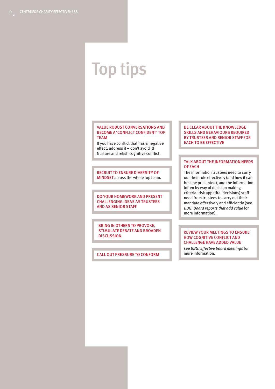### Top tips

#### VALUE ROBUST CONVERSATIONS AND BECOME A 'CONFLICT CONFIDENT' TOP TEAM

If you have conflict that has a negative effect, address it – don't avoid it! Nurture and relish cognitive conflict.

#### RECRUIT TO ENSURE DIVERSITY OF MINDSET across the whole top team.

DO YOUR HOMEWORK AND PRESENT CHALLENGING IDEAS AS TRUSTEES AND AS SENIOR STAFF

BRING IN OTHERS TO PROVOKE, STIMULATE DEBATE AND BROADEN **DISCUSSION** 

CALL OUT PRESSURE TO CONFORM

#### BE CLEAR ABOUT THE KNOWLEDGE SKILLS AND BEHAVIOURS REQUIRED BY TRUSTEES AND SENIOR STAFF FOR EACH TO BE EFFECTIVE

#### TALK ABOUT THE INFORMATION NEEDS OF EACH

The information trustees need to carry out their role effectively (and how it can best be presented), and the information (often by way of decision making criteria, risk appetite, decisions) staff need from trustees to carry out their mandate effectively and efficiently (see BBG: Board reports that add value for more information).

#### REVIEW YOUR MEETINGS TO ENSURE HOW COGNITIVE CONFLICT AND CHALLENGE HAVE ADDED VALUE

see BBG: Effective board meetings for more information.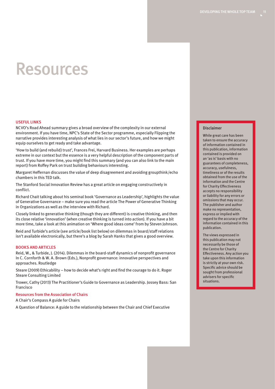### Resources

#### USEFUL LINKS

NCVO's [Road Ahead summary](https://publications.ncvo.org.uk/road-ahead-2021/) gives a broad overview of the complexity in our external environment. If you have time, [NPC's State of the Sector programme](https://www.thinknpc.org/examples-of-our-work/initiatives-were-working-on/state-of-the-sector/), especially [Flipping the](https://www.thinknpc.org/resource-hub/flipping-the-narrative-essays-on-transformation-from-the-sectors-boldest-voices/)  [narrative](https://www.thinknpc.org/resource-hub/flipping-the-narrative-essays-on-transformation-from-the-sectors-boldest-voices/) provides interesting analysis of what lies in our sector's future, and how we might equip ourselves to get ready and take advantage.

['How to build \(and rebuild\) trust',](https://www.ted.com/talks/frances_frei_how_to_build_and_rebuild_trust) Frances Frei, Harvard Business. Her examples are perhaps extreme in our context but the essence is a very helpful description of the component parts of trust. If you have more time, you [might find this summary \(and you can also link to the main](https://www.roffeypark.com/research-insights/the-lived-experience-of-trust/)  [report\) from Roffey Park on trust building behaviours interesting](https://www.roffeypark.com/research-insights/the-lived-experience-of-trust/).

Margaret Heffernan [discusses the value of deep disagreement and avoiding groupthink/echo](https://www.ted.com/talks/margaret_heffernan_dare_to_disagree)  [chambers in this TED talk](https://www.ted.com/talks/margaret_heffernan_dare_to_disagree).

The Stanford Social Innovation Review has a great article on [engaging constructively in](https://ssir.org/articles/entry/the_upside_of_conflict?utm_source=Enews&utm_medium=Email&utm_campaign=SSIR_Now&utm_content=Title)  [conflict](https://ssir.org/articles/entry/the_upside_of_conflict?utm_source=Enews&utm_medium=Email&utm_campaign=SSIR_Now&utm_content=Title).

Richard Chait talking about his seminal book 'Governance as Leadership', [highlights the value](https://hbswk.hbs.edu/archive/why-nonprofits-have-a-board-problem) [of Generative Governance – make sure you read the article The Power of Generative Thinking](https://hbswk.hbs.edu/archive/why-nonprofits-have-a-board-problem)  [in Organizations](https://hbswk.hbs.edu/archive/why-nonprofits-have-a-board-problem) as well as the interview with Richard.

Closely linked to generative thinking (though they are different) is creative thinking, and then its close relative 'innovation' (when creative thinking is turned into action). If you have a bit more time, take a look at this animation on '[Where good ideas come' from by Steven Johnson.](https://www.youtube.com/watch?v=NugRZGDbPFU)

Reid and Turbide's article (see article/book list below) on dilemmas in board/staff relations isn't available electronically, but there's a [blog by Sarah Hanks that gives a good overview](https://blogs.lt.vt.edu/reflectionsandexplorations/2014/12/04/examining-the-tensions-that-frame-nonprofit-governance-the-roles-and-responsibilities-of-nonprofit-chief-executives-and-board-members/).

#### BOOKS AND ARTICLES

[Reid, W., & Turbide, J. \(2014\). Dilemmas in the board-staff dynamics of nonprofit governance](https://www.routledge.com/Nonprofit-Governance-Innovative-Perspectives-and-Approaches/Cornforth-Brown/p/book/9780415783378)  [In C. Cornforth & W. A. Brown \(Eds.\), Nonprofit governance: innovative perspectives and](https://www.routledge.com/Nonprofit-Governance-Innovative-Perspectives-and-Approaches/Cornforth-Brown/p/book/9780415783378)  [approaches. Routledge](https://www.routledge.com/Nonprofit-Governance-Innovative-Perspectives-and-Approaches/Cornforth-Brown/p/book/9780415783378)

Steare (2009) [Ethicability – how to decide what's right and find the courage to do it](https://www.amazon.co.uk/Ethicability-Decide-Whats-Right-Courage/dp/0955236940/ref=sr_1_1?dchild=1&keywords=roger+steare+ethicability&qid=1628594137&sr=8-1). Roger Steare Consulting Limited

[Trower, Cathy \(2013\) The Practitioner's Guide to Governance as Leadership.](https://www.wiley.com/en-gb/The+Practitioner%27s+Guide+to+Governance+as+Leadership%3A+Building+High+Performing+Nonprofit+Boards-p-9781118237366) Jossey Bass: San Francisco

#### Resources from the Association of Chairs

[A Chair's Compass](https://www.associationofchairs.org.uk/resources/chairs-compass/) A guide for Chairs

[A Question of Balance:](https://www.associationofchairs.org.uk/resources/download-qob/) A guide to the relationship between the Chair and Chief Executive

#### Disclaimer

While great care has been taken to ensure the accuracy of information contained in this publication, information contained is provided on an 'as is' basis with no guarantees of completeness, accuracy, usefulness, timeliness or of the results obtained from the use of the information and the Centre for Charity Effectiveness accepts no responsibility or liability for any errors or omissions that may occur. The publisher and author make no representation, express or implied with regard to the accuracy of the information contained in this publication.

The views expressed in this publication may not necessarily be those of the Centre for Charity Effectiveness. Any action you take upon this information is strictly at your own risk. Specific advice should be sought from professional advisers for specific situations.